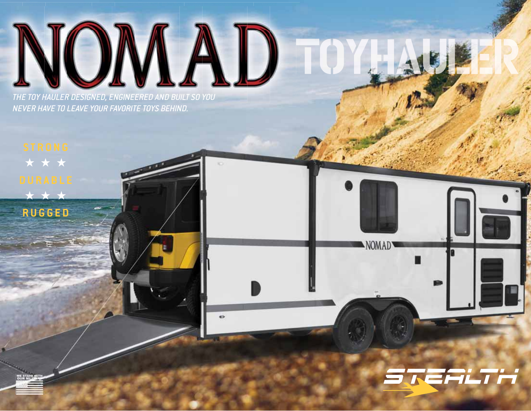

 $\bullet$ 

THE TOY HAULER DESIGNED, ENGINEERED AND BUILT SO YOU NEVER HAVE TO LEAVE YOUR FAVORITE TOYS BEHIND.

★★★ ★★★ **RUGGED**

**RESTAND WITH** 



NOMAD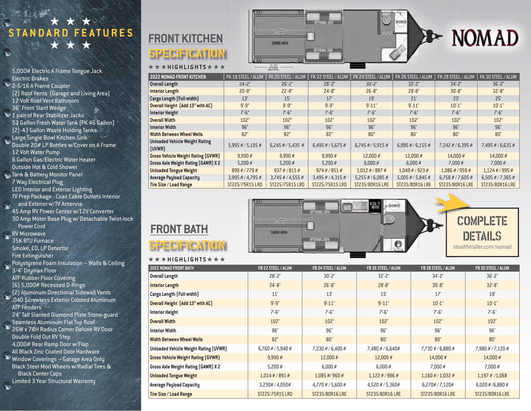★★★ **STANDARD FEATURES** ★★★

5,000# Electric A Frame Tongue Jack Electric Brakes 2-5/16 A Frame Coupler (2) Roof Vents (Garage and Living Area) 12 Volt Roof Vent Bathroom 36" Front Slant Wedge 1 pair of Rear Stabilizer Jacks 53 Gallon Fresh Water Tank (FK 46 Gallon) (2)-43 Gallon Waste Holding Tanks Large Single Bowl Kitchen Sink Double 20# LP Bottles w/Cover on A Frame 12 Volt Water Pump 6 Gallon Gas/Electric Water Heater Outside Hot & Cold Shower Tank & Battery Monitor Panel 7 Way Electrical Plug LED Interior and Exterior Lighting TV Prep Package - Coax Cable Outlets Interior and Exterior w/TV Antenna 45 Amp RV Power Center w/12V Converter 30 Amp Motor Base Plug w/ Detachable Twist-lock Power Cord **RV** Microwave 35K BTU Furnace Smoke, CO, LP Detector Fire Extinguisher Polystyrene Foam Insulation – Walls & Ceiling 3/4" Drymax Floor ATP Rubber Floor Covering (6) 5,000# Recessed D-Rings (2) Aluminum Directional Sidewall Vents E .040 Screwless Exterior Colored Aluminum ATP Fenders 24" Tall Slanted Diamond Plate Stone-guard Seamless Aluminum Flat Top Roof

26W x 78H Radius Corner Deluxe RV Door Double Fold Out RV Step

4,000# Rear Ramp Door w/Flap All Black Zinc Coated Door Hardware

Window Coverings – Garage Area Only Black Steel Mod Wheels w/Radial Tires &

Black Center Caps

Limited 3 Year Structural Warranty  $\equiv$ 



★★★ **HIGHLIGHTS** ★★★

|            |                   | <b>Call</b> | <b>Colleger Street Avenue</b> |  |
|------------|-------------------|-------------|-------------------------------|--|
|            | m                 |             |                               |  |
| ,,,,,,,,,, | <b>CARGO AREA</b> |             |                               |  |
|            |                   |             | OPTIONAL SOIA                 |  |
|            |                   |             |                               |  |



| <b>2022 NOMAD FRONT KITCHEN</b>                 | FK 18 STEEL / ALUM    | FK 20 STEEL / ALUM      | FK 22 STEEL / ALUM  | FK 24 STEEL / ALUM  | FK 26 STEEL / ALUM       | FK 28 STEEL / ALUM    | FK 30 STEEL / ALUM  |
|-------------------------------------------------|-----------------------|-------------------------|---------------------|---------------------|--------------------------|-----------------------|---------------------|
| <b>Overall Length</b>                           | $24^{\circ}$ -2"      | $26' - 2"$              | $28 - 2"$           | $30' - 2"$          | $32^{\circ} - 2^{\circ}$ | $34 - 2"$             | $36 - 2"$           |
| <b>Interior Length</b>                          | $20' - 8"$            | $22 - 8"$               | $24' - 8"$          | $26' - 8''$         | $28 - 8$ "               | $30' - 8"$            | $32 - 8"$           |
| Cargo Length (Full width)                       | 13'                   | 15'                     | 17'                 | 19'                 | 21'                      | 23'                   | 25'                 |
| Overall Height [Add 13" with AC]                | $9' - 9''$            | $9' - 9''$              | $9' - 9''$          | $9' - 11"$          | $9' - 11'$               | $10' - 1$             | $10' - 1$           |
| <b>Interior Height</b>                          | $7 - 6"$              | $7' - 6''$              | 7'.6''              | 7'.6''              | $7' - 6"$                | $7' - 6"$             | $7' - 6"$           |
| <b>Overall Width</b>                            | 102"                  | 102"                    | 102"                | 102"                | 102"                     | 102"                  | 102"                |
| <b>Interior Width</b>                           | 96"                   | 96"                     | 96"                 | 96"                 | 96"                      | 96"                   | 96"                 |
| <b>Width Between Wheel Wells</b>                | 82"                   | 82"                     | 82"                 | 80"                 | 80"                      | 80"                   | 80"                 |
| <b>Unloaded Vehicle Weight Rating</b><br>(UVWR) | $5,995$ # / $5,195$ # | $6,245$ # / 5,435 #     | $6,495$ # / 5,675 # | $6,745\#/5,915\#$   | $6,995\#/6,155\#$        | $7,242 \# / 6,395 \#$ | $7,495$ # / 6,635 # |
| <b>Gross Vehicle Weight Rating (GVWR)</b>       | 9,990#                | 9,990#                  | 9,990#              | 12,000#             | 12,000#                  | 14,000#               | 14,000 #            |
| Gross Axle Weight Rating (GAWR) X 2             | 5,200#                | 5.200#                  | 5,200#              | 6.000#              | 6.000#                   | 7.000#                | 7.000#              |
| <b>Unloaded Tongue Weight</b>                   | 899#/779#             | $937 \frac{\#}{815 \#}$ | $974\#/851\#$       | $1,012\#/887\#$     | $1,049$ # / 923 #        | $1,086$ # / 959 #     | 1,124#/995#         |
| <b>Average Payload Capacity</b>                 | $3,995$ # / 4,795 #   | $3,745$ # / 4,555 #     | $3,495$ # / 4,315 # | $5,255$ # / 6,085 # | $5,005$ # / $5,845$ #    | $6,758$ # / 7,605 #   | $6,505\#/7,365\#$   |
| Tire Size / Load Range                          | ST225/75R15 LRD       | ST225/75R15 LRD         | ST225/75R15 LRD     | ST235/80R16 LRE     | ST235/80R16 LRE          | ST235/80R16 LRE       | ST235/80R16 LRE     |



# **FRONT BATH**

## SPECIFICATION ★★★ **HIGHLIGHTS** ★★★

| 2022 NOMAD FRONT BATH                      | FB 22 STEEL / ALUM | FB 24 STEEL / ALUM  | FB 26 STEEL / ALUM  | FB 28 STEEL / ALUM  | FB 30 STEEL / ALUM    |
|--------------------------------------------|--------------------|---------------------|---------------------|---------------------|-----------------------|
| Overall Length                             | $28 - 2"$          | $30' - 2"$          | $32 - 2"$           | $34 - 2"$           | $36' - 2"$            |
| <b>Interior Length</b>                     | $24' - 8"$         | $26' - 8"$          | $28 - 8$ "          | $30' - 8"$          | $32 - 8"$             |
| Cargo Length (Full width)                  | 11'                | 13'                 | 15'                 | 17'                 | 19'                   |
| Overall Height [Add 13" with AC]           | $9' - 9"$          | $9' - 11'$          | $9' - 11'$          | $10' - 1$ "         | $10' - 1$ "           |
| <b>Interior Height</b>                     | $7' - 6"$          | $7' - 6"$           | $7 - 6"$            | $7 - 6"$            | $7 - 6"$              |
| <b>Overall Width</b>                       | 102"               | 102"                | 102"                | 102"                | 102"                  |
| <b>Interior Width</b>                      | 96"                | 96"                 | 96"                 | 96"                 | 96"                   |
| <b>Width Between Wheel Wells</b>           | 82"                | 80"                 | 80"                 | 80"                 | 80"                   |
| Unloaded Vehicle Weight Rating (UVWR)      | $6,760\#/5,940\#$  | $7,230\#/6,400\#$   | 7,480 # / 6,640#    | 7,730 # / 6,880 #   | $7,980$ # / $7,120$ # |
| <b>Gross Vehicle Weight Rating (GVWR)</b>  | 9,990#             | 12,000#             | 12,000#             | 14,000 #            | 14,000#               |
| <b>Gross Axle Weight Rating (GAWR) X 2</b> | 5,200#             | 6,000#              | 6,000#              | 7,000#              | 7,000#                |
| <b>Unloaded Tongue Weight</b>              | $1,014$ # / 891 #  | $1,085$ #/960 #     | $1,122 \# / 996 \#$ | $1,160$ # / 1,032 # | $1,197$ # /1,068      |
| <b>Average Payload Capacity</b>            | 3,230# / 4,050#    | $4,770$ # / 5,600 # | 4,520 # / 5,360#    | 6,270#/7,120#       | $6,020$ # /6,880 #    |
| Tire Size / Load Range                     | ST225/75R15 LRD    | ST235/80R16 LRE     | ST235/80R16 LRE     | ST235/80R16 LRE     | ST235/80R16 LRE       |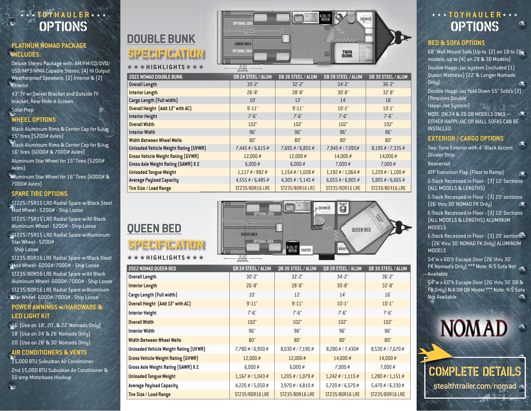## options **TOYHAULER**

## **PLATINUM NOMAD PACKAGE INCLUDES:**

Deluxe Stereo Package with: AM/FM/CD/DVD/ USB/MP3/WMA Capable Stereo, (4) Hi Output Weatherproof Speakers: (2) Interior & (2) **Exterior** 

43" TV w/ Swivel Bracket and Outside TV bracket, Rear Hide-A-Screen

## Solar Prep **WHEEL OPTIONS**

Black Aluminum Rims & Center Cap for 6-lug 15" tires (5200# Axles)

**Black Aluminum Rims & Center Cap for 8-lug** 16" tires (6000# & 7000# Axles) Aluminum Star Wheel for 15" Tires (5200#

Axles)

Aluminum Star Wheel for 16" Tires (6000# & 7000# Axles)

#### **SPARE TIRE OPTIONS**

ST225/75R15 LRD Radial Spare w/Black Steel Mod Wheel - 5200# - Ship Loose ST225/75R15 LRD Radial Spare w/All Black Aluminum Wheel - 5200# - Ship Loose

ST225/75R15 LRD Radial Spare w/Aluminum Star Wheel - 5200#

- Ship Loose

ST235/80R16 LRE Radial Spare w/Black Steel Mod Wheel- 6000#/7000# - Ship Loose ST235/80R16 LRE Radial Spare w/All Black Aluminum Wheel- 6000#/7000# - Ship Loose ST235/80R16 LRE Radial Spare w/Aluminum Star Wheel- 6000#/7000# - Ship Loose

#### **POWER AWNINGS w/HARDWARE & LED LIGHT KIT**

16' (Use on 18', 20', & 22' Nomads Only) 18' (Use on 24' & 26' Nomads Only) 20' (Use on 28' & 30' Nomads Only)

## **AIR CONDITIONERS & VENTS**

15,000 BTU Suburban Air Conditioner 2nd 15,000 BTU Suburban Air Conditioner & 50 amp Motorbase Hookup



| DUUDLL DUNN                                  | <b>CARGO AREA</b>                  |                                     |                                       |                           | <b>BED &amp; SOFA OPTIONS</b>                                                   |
|----------------------------------------------|------------------------------------|-------------------------------------|---------------------------------------|---------------------------|---------------------------------------------------------------------------------|
| SPECIFICA                                    | <b>OFTIDNAK SOFT</b>               |                                     | <b>TWIN</b><br>BUNK<br>$\overline{C}$ |                           | 68" Wall Mount Sofa (Up to<br>models, up to (4) on 28 &                         |
| <b>★★★HIGHLIGHTS★★★</b>                      | 72.287<br><b>BERNIFEN</b>          |                                     |                                       |                           | Double Happi-Jac system                                                         |
| <b>2022 NOMAD DOUBLE BUNK</b>                | DB 24 STEEL / ALUM                 | DB 26 STEEL / ALUM                  | DB 28 STEEL / ALUM                    | DB 30 STEEL / ALUM        | Queen Mattress) (22' & Lo                                                       |
| <b>Overall Length</b>                        | $30' - 2"$                         | $32 - 2"$                           | $34 - 2"$                             | $36' - 2"$                | Onlq)                                                                           |
| <b>Interior Length</b>                       | $26' - 8''$                        | $28' - 8"$                          | $30' - 8"$                            | $32' - 8"$                | Double Happi-Jac Fold Dov                                                       |
| Cargo Length (Full width)                    | 10'                                | 12'                                 | 14'                                   | 16'                       | (Requires Double                                                                |
| Overall Height [Add 13" with AC]             | $9' - 11'$                         | $9' - 11'$                          | $10' - 1$ "                           | $10' - 1$ "               | Happi-Jac System)                                                               |
| <b>Interior Height</b>                       | 7'.6''                             | $7 - 6"$                            | 7'.6''                                | $7 - 6"$                  | NOTE: ON 24 & 26 OB MOD                                                         |
| <b>Overall Width</b>                         | 102"                               | 102"                                | 102"                                  | 102"                      | EITHER HAPPI-JAC OR WAL                                                         |
| <b>Interior Width</b>                        | 96"                                | 96"                                 | 96"                                   | 96"                       | <b>INSTALLED</b>                                                                |
| <b>Width Between Wheel Wells</b>             | 80"                                | 80"                                 | 80"                                   | 80"                       | <b>EXTERIOR / CARGO O</b>                                                       |
| <b>Unloaded Vehicle Weight Rating (UVWR)</b> | $7,445$ # / 6,615 #                | 7,695 # / 6,855 #                   | 7,945 # / 7,095#                      | 8,195 # / 7,335 #         | Two-Tone Exterior with 4"                                                       |
| <b>Gross Vehicle Weight Rating (GVWR)</b>    | 12.000 #                           | 12,000#                             | 14.000 #                              | 14,000 #                  | <b>Divider Strip</b>                                                            |
| Gross Axle Weight Rating (GAWR) X 2          | 6.000#                             | 6.000#                              | 7.000#                                | 7.000#                    | <b>Beavertail</b>                                                               |
| <b>Unloaded Tongue Weight</b>                | $1,117$ # / 992 #                  | $1,154$ # / 1,028 #                 | $1,192 \# / 1,064 \#$                 | $1,229$ # / $1,100$ #     | <b>ATP Transition Flap (Floor 1</b>                                             |
| <b>Average Payload Capacity</b>              | 4,555 # / 6,485 #                  | $4,305$ # / 5,145 #                 | $6,055$ # / 6,905 #                   | $5,805$ # / 6,665 #       | <b>E-Track Recessed in Floor</b>                                                |
| Tire Size / Load Range                       | ST235/80R16 LRE                    | ST235/80R16 LRE                     | ST235/80R16 LRE                       | ST235/80R16 LRE           | (ALL MODELS & LENGTHS)                                                          |
|                                              |                                    |                                     |                                       |                           | <b>E-Track Recessed in Floor</b><br>[26' thru 30' NOMAD FK Or                   |
| <b>QUEEN BED</b>                             | æ                                  |                                     | QUEEN BED                             |                           | <b>E-Track Recessed in Floor</b><br>(ALL MODELS & LENGTHS)<br><b>MODELS</b>     |
| <b>SPECIFICATION</b>                         | <b>CARGO AREA</b><br>OPTIONAL SOFA | <b>S CUL FT.</b><br>REFER<br>PANTRY | WARD                                  |                           | <b>E-Track Recessed in Floor</b><br>- [26' thru 30' NOMAD FK I<br><b>MODELS</b> |
| ★★★HIGHLIGHTS★★★                             | $72,017$<br>$-0000$                |                                     |                                       |                           | 54"w x 60"h Escape Door                                                         |
| 2022 NOMAD QUEEN BED                         | <b>QB 24 STEEL / ALUM</b>          | <b>QB 26 STEEL / ALUM</b>           | <b>QB 28 STEEL / ALUM</b>             | <b>QB 30 STEEL / ALUM</b> | FK Nomad's Only) *** Note                                                       |
| <b>Overall Length</b>                        | $30' - 2"$                         | $32^{\circ} - 2^{\circ}$            | $34 - 2"$                             | $36' - 2"$                | Available                                                                       |



| 2022 NOMAD QUEEN BED                      | <b>QB 24 STEEL / ALUM</b> | <b>QB 26 STEEL / ALUM</b> | <b>QB 28 STEEL / ALUM</b> | <b>QB 30 STEEL / ALUM</b> |
|-------------------------------------------|---------------------------|---------------------------|---------------------------|---------------------------|
| Overall Length                            | $30' - 2"$                | $32 - 2"$                 | $34 - 2"$                 | $36 - 2"$                 |
| <b>Interior Length</b>                    | $26' - 8"$                | $28' - 8"$                | $30' - 8"$                | $32 - 8"$                 |
| Cargo Length (Full width)                 | 10'                       | 12'                       | 14'                       | 16'                       |
| Overall Height (Add 13" with AC)          | $9' - 11'$                | $9' - 11'$                | $10' - 1$ "               | $10' - 1$ "               |
| Interior Height                           | $7 - 6"$                  | $7 - 6"$                  | $7 - 6"$                  | $7 - 6"$                  |
| <b>Overall Width</b>                      | 102"                      | 102"                      | 102"                      | 102"                      |
| Interior Width                            | 96"                       | 96"                       | 96"                       | 96"                       |
| Width Between Wheel Wells                 | 80"                       | 80"                       | 80"                       | 80"                       |
| Unloaded Vehicle Weight Rating (UVWR)     | 7,780 # / 6,950 #         | $8,030$ # / 7,190 #       | 8,280 # / 7,430#          | 8,530 # / 7,670 #         |
| <b>Gross Vehicle Weight Rating (GVWR)</b> | 12,000 #                  | 12,000#                   | 14,000 #                  | 14,000 #                  |
| Gross Axle Weight Rating (GAWR) X 2       | 6,000#                    | 6,000#                    | 7,000#                    | 7,000#                    |
| <b>Unloaded Tongue Weight</b>             | $1,167$ # / 1,043 #       | $1,205$ # / $1,079$ #     | $1,242 \# / 1,115 \#$     | $1,280$ # $/ 1,151$ #     |
| Average Payload Capacity                  | $4,220$ # / 5,050 #       | $3,970$ # / 4,810 #       | $5,720$ # / 6,570 #       | $5,470$ # / 6,330 #       |
| Tire Size / Load Range                    | ST235/80R16 LRE           | ST235/80R16 LRE           | ST235/80R16 LRE           | ST235/80R16 LRE           |

## **OPTIONS** ★★★ **TOYHAULER** ★★★

68" Wall Mount Sofa (Up to (2) on 18 to 26 models, up to (4) on 28 & 30 Models)

Double Happi-Jac system (included (1) Queen Mattress) (22' & Longer Nomads Only)

Double Happi-Jac Fold Down 55" Sofa's (2) (Requires Double Happi-Jac System)

NOTE: ON 24 & 26 QB MODELS ONLY --- EITHER HAPPI-JAC OR WALL SOFAS CAN BE INSTALLED

### **EXTERIOR / CARGO OPTIONS**

Two- Tone Exterior with 4" Black Accent Divider Strip

ATP Transition Flap (Floor to Ramp) c E-Track Recessed in Floor - (3) 10' Sections

(ALL MODELS & LENGTHS) E-Track Recessed in Floor - (3) 20' sections

(26' thru 30' NOMAD FK Only)

E-Track Recessed in Floor - (3) 10' Sections (ALL MODELS & LENGTHS) ALUMINUM **MODELS** 

E-Track Recessed in Floor - (3) 20' sections - (26' thru 30' NOMAD FK Only) ALUMINUM MODELS

54"w x 60"h Escape Door (26' thru 30' FK Nomad's Only) \*\*\* Note: R/S Sofa Not Available

54"w x 60"h Escape Door (26' thru 30' DB & FB Only) N/A ON QB Model \*\*\* Note: R/S Sofa Not Available

**NOMAD** 

complete details stealthtrailer.com/nomad -